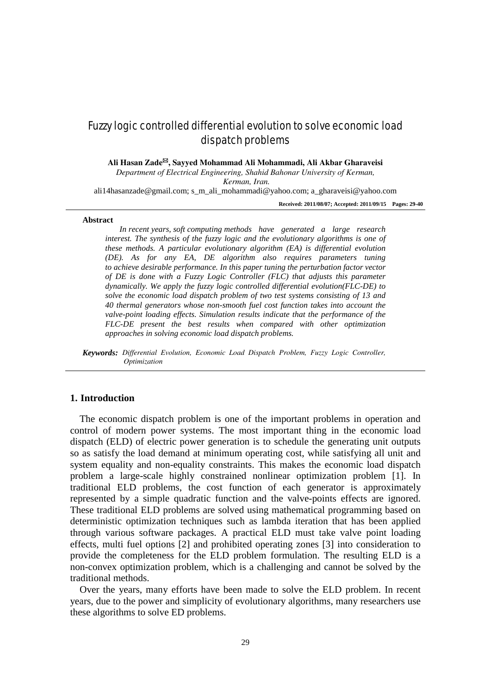# Fuzzy logic controlled differential evolution to solve economic load dispatch problems

**Ali Hasan Zade, Sayyed Mohammad Ali Mohammadi, Ali Akbar Gharaveisi**

*Department of Electrical Engineering, Shahid Bahonar University of Kerman,*

*Kerman, Iran.*

[ali14hasanzade@gmail.com;](mailto:ali14hasanzade@gmail.com) [s\\_m\\_ali\\_mohammadi@yahoo.com;](mailto:s_m_ali_mohammadi@yahoo.com) [a\\_gharaveisi@yahoo.com](mailto:a_gharaveisi@yahoo.com)

**Received: 2011/08/07; Accepted: 2011/09/15 Pages: 29-40**

#### **Abstract**

*In recent years, soft computing methods have generated a large research interest. The synthesis of the fuzzy logic and the evolutionary algorithms is one of these methods. A particular evolutionary algorithm (EA) is differential evolution (DE). As for any EA, DE algorithm also requires parameters tuning to achieve desirable performance. In this paper tuning the perturbation factor vector of DE is done with a Fuzzy Logic Controller (FLC) that adjusts this parameter dynamically. We apply the fuzzy logic controlled differential evolution(FLC-DE) to solve the economic load dispatch problem of two test systems consisting of 13 and 40 thermal generators whose non-smooth fuel cost function takes into account the valve-point loading effects. Simulation results indicate that the performance of the FLC-DE present the best results when compared with other optimization approaches in solving economic load dispatch problems.*

*Keywords: Differential Evolution, Economic Load Dispatch Problem, Fuzzy Logic Controller, Optimization*

### **1. Introduction**

The economic dispatch problem is one of the important problems in operation and control of modern power systems. The most important thing in the economic load dispatch (ELD) of electric power generation is to schedule the generating unit outputs so as satisfy the load demand at minimum operating cost, while satisfying all unit and system equality and non-equality constraints. This makes the economic load dispatch problem a large-scale highly constrained nonlinear optimization problem [1]. In traditional ELD problems, the cost function of each generator is approximately represented by a simple quadratic function and the valve-points effects are ignored. These traditional ELD problems are solved using mathematical programming based on deterministic optimization techniques such as lambda iteration that has been applied through various software packages. A practical ELD must take valve point loading effects, multi fuel options [2] and prohibited operating zones [3] into consideration to provide the completeness for the ELD problem formulation. The resulting ELD is a non-convex optimization problem, which is a challenging and cannot be solved by the traditional methods.

Over the years, many efforts have been made to solve the ELD problem. In recent years, due to the power and simplicity of evolutionary algorithms, many researchers use these algorithms to solve ED problems.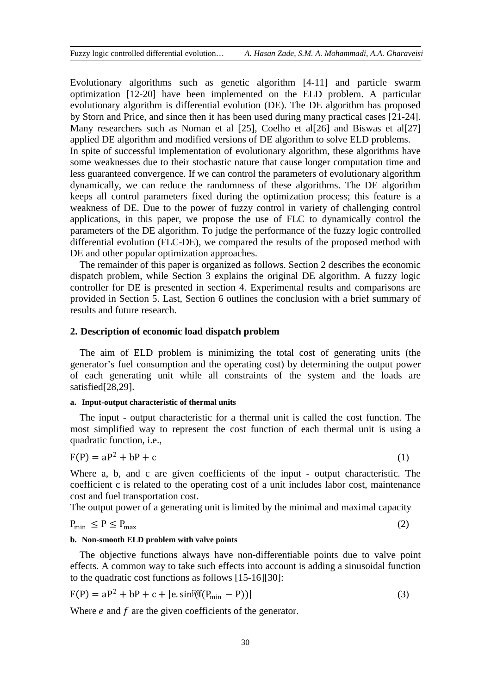Evolutionary algorithms such as genetic algorithm [4-11] and particle swarm optimization [12-20] have been implemented on the ELD problem. A particular evolutionary algorithm is differential evolution (DE). The DE algorithm has proposed by Storn and Price, and since then it has been used during many practical cases [21-24]. Many researchers such as Noman et al [25], Coelho et al[26] and Biswas et al[27] applied DE algorithm and modified versions of DE algorithm to solve ELD problems. In spite of successful implementation of evolutionary algorithm, these algorithms have some weaknesses due to their stochastic nature that cause longer computation time and less guaranteed convergence. If we can control the parameters of evolutionary algorithm dynamically, we can reduce the randomness of these algorithms. The DE algorithm keeps all control parameters fixed during the optimization process; this feature is a weakness of DE. Due to the power of fuzzy control in variety of challenging control applications, in this paper, we propose the use of FLC to dynamically control the parameters of the DE algorithm. To judge the performance of the fuzzy logic controlled differential evolution (FLC-DE), we compared the results of the proposed method with DE and other popular optimization approaches.

The remainder of this paper is organized as follows. Section 2 describes the economic dispatch problem, while Section 3 explains the original DE algorithm. A fuzzy logic controller for DE is presented in section 4. Experimental results and comparisons are provided in Section 5. Last, Section 6 outlines the conclusion with a brief summary of results and future research.

## **2. Description of economic load dispatch problem**

The aim of ELD problem is minimizing the total cost of generating units (the generator's fuel consumption and the operating cost) by determining the output power of each generating unit while all constraints of the system and the loads are satisfied[28.29].

## **a. Input-output characteristic of thermal units**

The input - output characteristic for a thermal unit is called the cost function. The most simplified way to represent the cost function of each thermal unit is using a quadratic function, i.e.,

$$
F(P) = aP^2 + bP + c \tag{1}
$$

Where a, b, and c are given coefficients of the input - output characteristic. The coefficient c is related to the operating cost of a unit includes labor cost, maintenance cost and fuel transportation cost.

The output power of a generating unit is limited by the minimal and maximal capacity

# $P_{\min} \leq P \leq P_{\max}$  (2)

#### **b. Non-smooth ELD problem with valve points**

The objective functions always have non-differentiable points due to valve point effects. A common way to take such effects into account is adding a sinusoidal function to the quadratic cost functions as follows [15-16][30]:

$$
F(P) = aP^2 + bP + c + |e \sin[2f(P_{\min} - P))|
$$
 (3)

Where  $e$  and  $f$  are the given coefficients of the generator.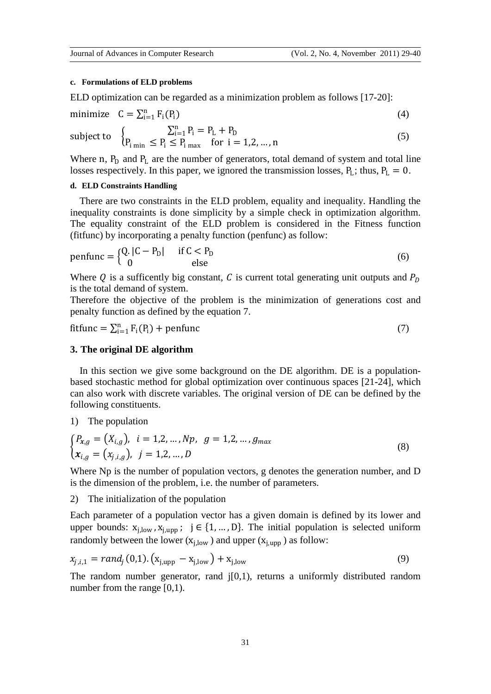### **c. Formulations of ELD problems**

ELD optimization can be regarded as a minimization problem as follows [17-20]:

minimize 
$$
C = \sum_{i=1}^{n} F_i(P_i)
$$
 (4)

subject to 
$$
\begin{cases} \sum_{i=1}^{n} P_{i} = P_{L} + P_{D} \\ P_{i \min} \le P_{i} \le P_{i \max} \quad \text{for } i = 1, 2, ..., n \end{cases}
$$
 (5)

Where n,  $P_D$  and  $P_L$  are the number of generators, total demand of system and total line losses respectively. In this paper, we ignored the transmission losses,  $P_L$ ; thus,  $P_L = 0$ .

# **d. ELD Constraints Handling**

There are two constraints in the ELD problem, equality and inequality. Handling the inequality constraints is done simplicity by a simple check in optimization algorithm. The equality constraint of the ELD problem is considered in the Fitness function (fitfunc) by incorporating a penalty function (penfunc) as follow:

$$
penfunc = \begin{cases} Q. |C - P_D| & \text{if } C < P_D \\ 0 & \text{else} \end{cases}
$$
 (6)

Where Q is a sufficently big constant, C is current total generating unit outputs and  $P<sub>D</sub>$ is the total demand of system.

Therefore the objective of the problem is the minimization of generations cost and penalty function as defined by the equation 7.

$$
fitfunc = \sum_{i=1}^{n} F_i(P_i) + \text{penfunc}
$$
 (7)

# **3. The original DE algorithm**

In this section we give some background on the DE algorithm. DE is a populationbased stochastic method for global optimization over continuous spaces [21-24], which can also work with discrete variables. The original version of DE can be defined by the following constituents.

# 1) The population

$$
\begin{cases}\nP_{x,g} = (X_{i,g}), \quad i = 1,2,\dots,Np, \quad g = 1,2,\dots,g_{max} \\
x_{i,g} = (x_{j,i,g}), \quad j = 1,2,\dots,D\n\end{cases}
$$
\n(8)

Where Np is the number of population vectors, g denotes the generation number, and D is the dimension of the problem, i.e. the number of parameters.

2) The initialization of the population

Each parameter of a population vector has a given domain is defined by its lower and upper bounds:  $x_{i,low}$ ,  $x_{i,upp}$ ;  $j \in \{1, ..., D\}$ . The initial population is selected uniform randomly between the lower  $(x_{i,low})$  and upper  $(x_{i,unn})$  as follow:

$$
x_{j,i,1} = rand_j(0,1) \cdot (x_{j,upp} - x_{j,low}) + x_{j,low}
$$
 (9)

The random number generator, rand  $j[0,1)$ , returns a uniformly distributed random number from the range [0,1).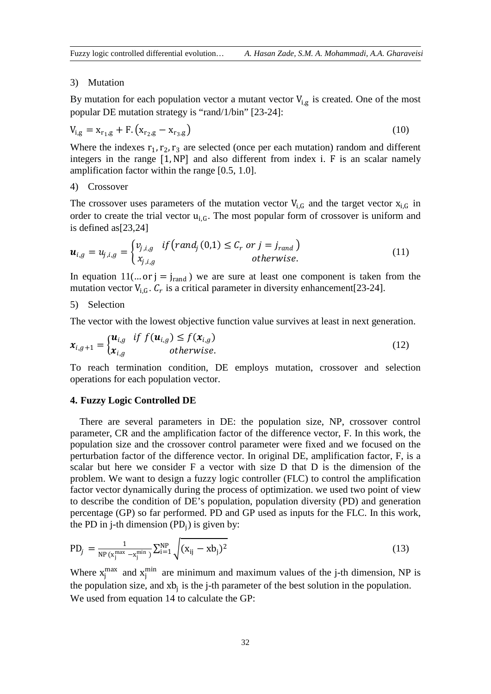#### 3) Mutation

By mutation for each population vector a mutant vector  $V_{i,g}$  is created. One of the most popular DE mutation strategy is "rand/1/bin" [23-24]:

$$
V_{i,g} = x_{r_1,g} + F. (x_{r_2,g} - x_{r_3,g})
$$
\n(10)

Where the indexes  $r_1, r_2, r_3$  are selected (once per each mutation) random and different integers in the range [1,NP] and also different from index i. F is an scalar namely amplification factor within the range [0.5, 1.0].

#### 4) Crossover

The crossover uses parameters of the mutation vector  $V_{i,G}$  and the target vector  $X_{i,G}$  in order to create the trial vector  $u_{i,G}$ . The most popular form of crossover is uniform and is defined as[23,24]

$$
\boldsymbol{u}_{i,g} = u_{j,i,g} = \begin{cases} v_{j,i,g} & if \big(rand_j(0,1) \leq C_r \text{ or } j = j_{rand} \big) \\ x_{j,i,g} & otherwise. \end{cases}
$$
(11)

In equation  $11(...$  or  $j = j_{rand}$ ) we are sure at least one component is taken from the mutation vector  $V_{i,G}$ .  $C_r$  is a critical parameter in diversity enhancement[23-24].

# 5) Selection

The vector with the lowest objective function value survives at least in next generation.

$$
\mathbf{x}_{i,g+1} = \begin{cases} \mathbf{u}_{i,g} & \text{if } f(\mathbf{u}_{i,g}) \le f(\mathbf{x}_{i,g}) \\ \mathbf{x}_{i,g} & \text{otherwise.} \end{cases} \tag{12}
$$

To reach termination condition, DE employs mutation, crossover and selection operations for each population vector.

### **4. Fuzzy Logic Controlled DE**

There are several parameters in DE: the population size, NP, crossover control parameter, CR and the amplification factor of the difference vector, F. In this work, the population size and the crossover control parameter were fixed and we focused on the perturbation factor of the difference vector. In original DE, amplification factor, F, is a scalar but here we consider F a vector with size D that D is the dimension of the problem. We want to design a fuzzy logic controller (FLC) to control the amplification factor vector dynamically during the process of optimization. we used two point of view to describe the condition of DE's population, population diversity (PD) and generation percentage (GP) so far performed. PD and GP used as inputs for the FLC. In this work, the PD in j-th dimension  $(PD_i)$  is given by:

$$
PD_j = \frac{1}{NP(x_j^{\max} - x_j^{\min})} \sum_{i=1}^{NP} \sqrt{(x_{ij} - xb_j)^2}
$$
 (13)

Where  $x_j^{max}$  and  $x_j^{min}$  are minimum and maximum values of the j-th dimension, NP is the population size, and  $xb_j$  is the j-th parameter of the best solution in the population. We used from equation 14 to calculate the GP: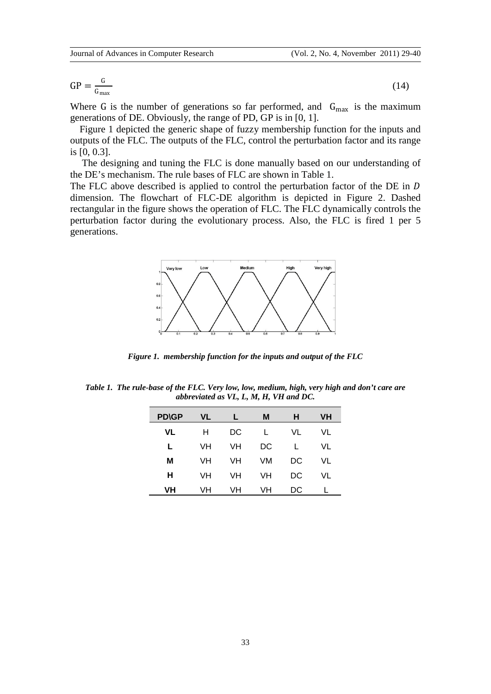(14)

$$
GP = \frac{G}{G_{\text{max}}}
$$

Where G is the number of generations so far performed, and  $G_{\text{max}}$  is the maximum generations of DE. Obviously, the range of PD, GP is in [0, 1].

Figure 1 depicted the generic shape of fuzzy membership function for the inputs and outputs of the FLC. The outputs of the FLC, control the perturbation factor and its range is [0, 0.3].

The designing and tuning the FLC is done manually based on our understanding of the DE's mechanism. The rule bases of FLC are shown in Table 1.

The FLC above described is applied to control the perturbation factor of the DE in D dimension. The flowchart of FLC-DE algorithm is depicted in Figure 2. Dashed rectangular in the figure shows the operation of FLC. The FLC dynamically controls the perturbation factor during the evolutionary process. Also, the FLC is fired 1 per 5 generations.



*Figure 1. membership function for the inputs and output of the FLC*

*Table 1. The rule-base of the FLC. Very low, low, medium, high, very high and don't care are abbreviated as VL, L, M, H, VH and DC.*

| <b>PD\GP</b> | <b>VL</b> |    | М  | н  | <b>VH</b> |
|--------------|-----------|----|----|----|-----------|
| VL           | н         | DC |    | VL | VL        |
| L            | VH        | VH | DC |    | VL        |
| М            | VH        | VH | VM | DC | VL        |
| н            | VH        | VH | VH | DC | VL        |
| VH           | VH        | VH | VH | DC |           |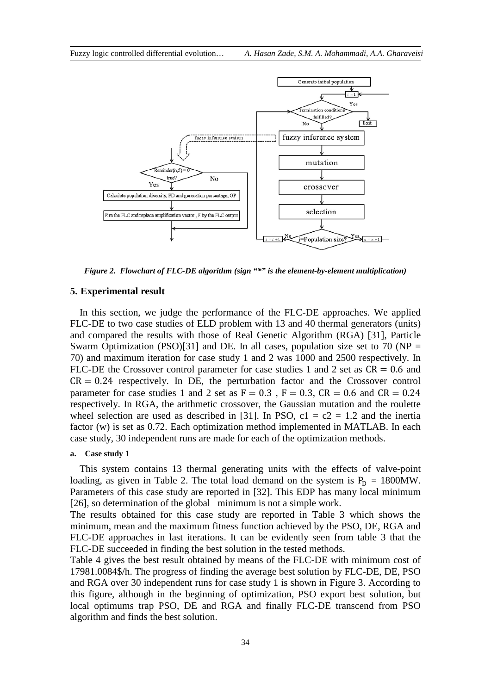

*Figure 2. Flowchart of FLC-DE algorithm (sign "\*" is the element-by-element multiplication)*

### **5. Experimental result**

In this section, we judge the performance of the FLC-DE approaches. We applied FLC-DE to two case studies of ELD problem with 13 and 40 thermal generators (units) and compared the results with those of Real Genetic Algorithm (RGA) [31], Particle Swarm Optimization (PSO)[31] and DE. In all cases, population size set to 70 (NP = 70) and maximum iteration for case study 1 and 2 was 1000 and 2500 respectively. In FLC-DE the Crossover control parameter for case studies 1 and 2 set as  $CR = 0.6$  and  $CR = 0.24$  respectively. In DE, the perturbation factor and the Crossover control parameter for case studies 1 and 2 set as  $F = 0.3$ ,  $F = 0.3$ ,  $CR = 0.6$  and  $CR = 0.24$ respectively. In RGA, the arithmetic crossover, the Gaussian mutation and the roulette wheel selection are used as described in [31]. In PSO,  $c1 = c2 = 1.2$  and the inertia factor (w) is set as 0.72. Each optimization method implemented in MATLAB. In each case study, 30 independent runs are made for each of the optimization methods.

### **a. Case study 1**

This system contains 13 thermal generating units with the effects of valve-point loading, as given in Table 2. The total load demand on the system is  $P_D = 1800MW$ . Parameters of this case study are reported in [32]. This EDP has many local minimum [26], so determination of the global minimum is not a simple work.

The results obtained for this case study are reported in Table 3 which shows the minimum, mean and the maximum fitness function achieved by the PSO, DE, RGA and FLC-DE approaches in last iterations. It can be evidently seen from table 3 that the FLC-DE succeeded in finding the best solution in the tested methods.

Table 4 gives the best result obtained by means of the FLC-DE with minimum cost of 17981.0084\$/h. The progress of finding the average best solution by FLC-DE, DE, PSO and RGA over 30 independent runs for case study 1 is shown in Figure 3. According to this figure, although in the beginning of optimization, PSO export best solution, but local optimums trap PSO, DE and RGA and finally FLC-DE transcend from PSO algorithm and finds the best solution.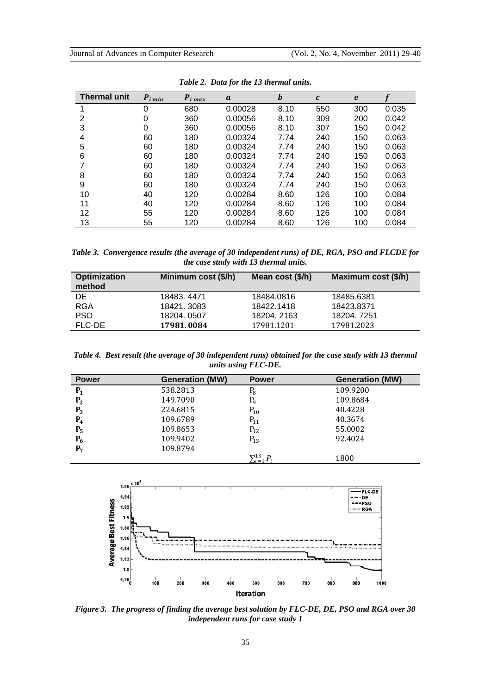| <b>Thermal unit</b> | $P_{i \min}$ | $P_{i max}$ | a       | b    | $\mathbf{c}$ | $\boldsymbol{e}$ |       |
|---------------------|--------------|-------------|---------|------|--------------|------------------|-------|
|                     | $\Omega$     | 680         | 0.00028 | 8.10 | 550          | 300              | 0.035 |
| 2                   | 0            | 360         | 0.00056 | 8.10 | 309          | 200              | 0.042 |
| 3                   | 0            | 360         | 0.00056 | 8.10 | 307          | 150              | 0.042 |
| 4                   | 60           | 180         | 0.00324 | 7.74 | 240          | 150              | 0.063 |
| 5                   | 60           | 180         | 0.00324 | 7.74 | 240          | 150              | 0.063 |
| 6                   | 60           | 180         | 0.00324 | 7.74 | 240          | 150              | 0.063 |
|                     | 60           | 180         | 0.00324 | 7.74 | 240          | 150              | 0.063 |
| 8                   | 60           | 180         | 0.00324 | 7.74 | 240          | 150              | 0.063 |
| 9                   | 60           | 180         | 0.00324 | 7.74 | 240          | 150              | 0.063 |
| 10                  | 40           | 120         | 0.00284 | 8.60 | 126          | 100              | 0.084 |
| 11                  | 40           | 120         | 0.00284 | 8.60 | 126          | 100              | 0.084 |
| 12                  | 55           | 120         | 0.00284 | 8.60 | 126          | 100              | 0.084 |
| 13                  | 55           | 120         | 0.00284 | 8.60 | 126          | 100              | 0.084 |

*Table 2. Data for the 13 thermal units.*

*Table 3. Convergence results (the average of 30 independent runs) of DE, RGA, PSO and FLCDE for the case study with 13 thermal units.*

| <b>Optimization</b><br>method | Minimum cost (\$/h) | Mean cost (\$/h) | Maximum cost (\$/h) |
|-------------------------------|---------------------|------------------|---------------------|
| DE.                           | 18483, 4471         | 18484.0816       | 18485.6381          |
| <b>RGA</b>                    | 18421.3083          | 18422.1418       | 18423.8371          |
| PSO.                          | 18204, 0507         | 18204.2163       | 18204.7251          |
| FLC-DE                        | 17981.0084          | 17981.1201       | 17981.2023          |

*Table 4. Best result (the average of 30 independent runs) obtained for the case study with 13 thermal units using FLC-DE.*

| <b>Power</b>   | <b>Generation (MW)</b> | <b>Power</b>                        | <b>Generation (MW)</b> |
|----------------|------------------------|-------------------------------------|------------------------|
| $P_1$          | 538.2813               | $P_8$                               | 109.9200               |
| P <sub>2</sub> | 149.7090               | P <sub>9</sub>                      | 109.8684               |
| $P_3$          | 224.6815               | $P_{10}$                            | 40.4228                |
| $P_4$          | 109.6789               | $P_{11}$                            | 40.3674                |
| $P_5$          | 109.8653               | $P_{12}$                            | 55,0002                |
| $P_6$          | 109.9402               | $P_{13}$                            | 92.4024                |
| $P_7$          | 109.8794               |                                     |                        |
|                |                        | $\nabla$ 13<br>$\bm{P}$<br>$-i = i$ | 1800                   |



*Figure 3. The progress of finding the average best solution by FLC-DE, DE, PSO and RGA over 30 independent runs for case study 1*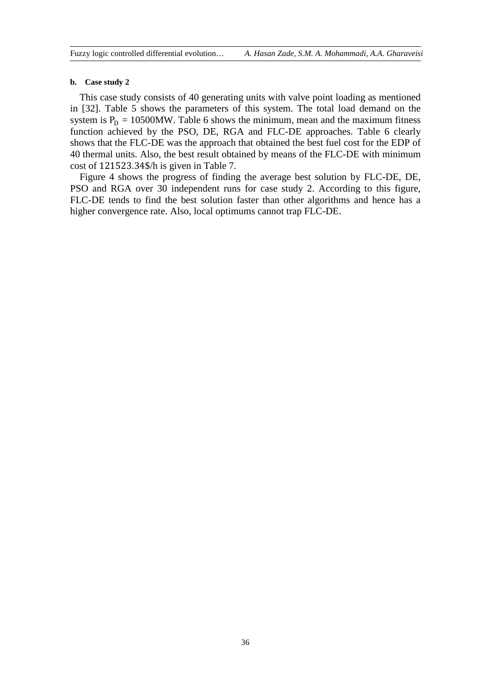#### **b. Case study 2**

This case study consists of 40 generating units with valve point loading as mentioned in [32]. Table 5 shows the parameters of this system. The total load demand on the system is  $P_D = 10500MW$ . Table 6 shows the minimum, mean and the maximum fitness function achieved by the PSO, DE, RGA and FLC-DE approaches. Table 6 clearly shows that the FLC-DE was the approach that obtained the best fuel cost for the EDP of 40 thermal units. Also, the best result obtained by means of the FLC-DE with minimum cost of 121523.34\$/h is given in Table 7.

Figure 4 shows the progress of finding the average best solution by FLC-DE, DE, PSO and RGA over 30 independent runs for case study 2. According to this figure, FLC-DE tends to find the best solution faster than other algorithms and hence has a higher convergence rate. Also, local optimums cannot trap FLC-DE.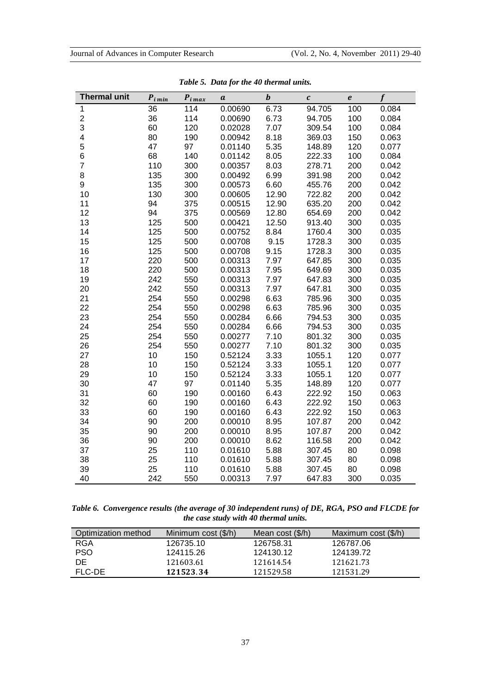| <b>Thermal unit</b> | $P_{i \min}$ | $P_{i \, max}$ | a       | $\boldsymbol{b}$ | $\boldsymbol{c}$ | $\pmb{e}$ | f     |
|---------------------|--------------|----------------|---------|------------------|------------------|-----------|-------|
| 1                   | 36           | 114            | 0.00690 | 6.73             | 94.705           | 100       | 0.084 |
| $\overline{c}$      | 36           | 114            | 0.00690 | 6.73             | 94.705           | 100       | 0.084 |
| 3                   | 60           | 120            | 0.02028 | 7.07             | 309.54           | 100       | 0.084 |
| 4                   | 80           | 190            | 0.00942 | 8.18             | 369.03           | 150       | 0.063 |
| 5                   | 47           | 97             | 0.01140 | 5.35             | 148.89           | 120       | 0.077 |
| 6                   | 68           | 140            | 0.01142 | 8.05             | 222.33           | 100       | 0.084 |
| $\overline{7}$      | 110          | 300            | 0.00357 | 8.03             | 278.71           | 200       | 0.042 |
| 8                   | 135          | 300            | 0.00492 | 6.99             | 391.98           | 200       | 0.042 |
| 9                   | 135          | 300            | 0.00573 | 6.60             | 455.76           | 200       | 0.042 |
| 10                  | 130          | 300            | 0.00605 | 12.90            | 722.82           | 200       | 0.042 |
| 11                  | 94           | 375            | 0.00515 | 12.90            | 635.20           | 200       | 0.042 |
| 12                  | 94           | 375            | 0.00569 | 12.80            | 654.69           | 200       | 0.042 |
| 13                  | 125          | 500            | 0.00421 | 12.50            | 913.40           | 300       | 0.035 |
| 14                  | 125          | 500            | 0.00752 | 8.84             | 1760.4           | 300       | 0.035 |
| 15                  | 125          | 500            | 0.00708 | 9.15             | 1728.3           | 300       | 0.035 |
| 16                  | 125          | 500            | 0.00708 | 9.15             | 1728.3           | 300       | 0.035 |
| 17                  | 220          | 500            | 0.00313 | 7.97             | 647.85           | 300       | 0.035 |
| 18                  | 220          | 500            | 0.00313 | 7.95             | 649.69           | 300       | 0.035 |
| 19                  | 242          | 550            | 0.00313 | 7.97             | 647.83           | 300       | 0.035 |
| 20                  | 242          | 550            | 0.00313 | 7.97             | 647.81           | 300       | 0.035 |
| 21                  | 254          | 550            | 0.00298 | 6.63             | 785.96           | 300       | 0.035 |
| 22                  | 254          | 550            | 0.00298 | 6.63             | 785.96           | 300       | 0.035 |
| 23                  | 254          | 550            | 0.00284 | 6.66             | 794.53           | 300       | 0.035 |
| 24                  | 254          | 550            | 0.00284 | 6.66             | 794.53           | 300       | 0.035 |
| 25                  | 254          | 550            | 0.00277 | 7.10             | 801.32           | 300       | 0.035 |
| 26                  | 254          | 550            | 0.00277 | 7.10             | 801.32           | 300       | 0.035 |
| 27                  | 10           | 150            | 0.52124 | 3.33             | 1055.1           | 120       | 0.077 |
| 28                  | 10           | 150            | 0.52124 | 3.33             | 1055.1           | 120       | 0.077 |
| 29                  | 10           | 150            | 0.52124 | 3.33             | 1055.1           | 120       | 0.077 |
| 30                  | 47           | 97             | 0.01140 | 5.35             | 148.89           | 120       | 0.077 |
| 31                  | 60           | 190            | 0.00160 | 6.43             | 222.92           | 150       | 0.063 |
| 32                  | 60           | 190            | 0.00160 | 6.43             | 222.92           | 150       | 0.063 |
| 33                  | 60           | 190            | 0.00160 | 6.43             | 222.92           | 150       | 0.063 |
| 34                  | 90           | 200            | 0.00010 | 8.95             | 107.87           | 200       | 0.042 |
| 35                  | 90           | 200            | 0.00010 | 8.95             | 107.87           | 200       | 0.042 |
| 36                  | 90           | 200            | 0.00010 | 8.62             | 116.58           | 200       | 0.042 |
| 37                  | 25           | 110            | 0.01610 | 5.88             | 307.45           | 80        | 0.098 |
| 38                  | 25           | 110            | 0.01610 | 5.88             | 307.45           | 80        | 0.098 |
| 39                  | 25           | 110            | 0.01610 | 5.88             | 307.45           | 80        | 0.098 |
| 40                  | 242          | 550            | 0.00313 | 7.97             | 647.83           | 300       | 0.035 |

*Table 5. Data for the 40 thermal units.*

*Table 6. Convergence results (the average of 30 independent runs) of DE, RGA, PSO and FLCDE for the case study with 40 thermal units.*

| Optimization method | Minimum cost (\$/h) | Mean cost $(\frac{5}{h})$ | Maximum cost (\$/h) |
|---------------------|---------------------|---------------------------|---------------------|
| RGA                 | 126735.10           | 126758.31                 | 126787.06           |
| <b>PSO</b>          | 124115.26           | 124130.12                 | 124139.72           |
| DE.                 | 121603.61           | 121614.54                 | 121621.73           |
| FLC-DE              | 121523.34           | 121529.58                 | 121531.29           |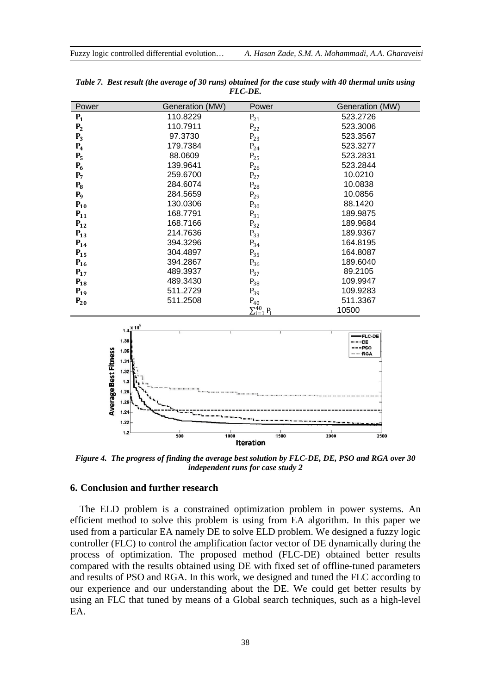| Power          | Generation (MW) | Power                 | Generation (MW) |
|----------------|-----------------|-----------------------|-----------------|
| $P_1$          | 110.8229        | $P_{21}$              | 523.2726        |
| P <sub>2</sub> | 110.7911        | $P_{22}$              | 523.3006        |
| $P_3$          | 97.3730         | $P_{23}$              | 523.3567        |
| $P_4$          | 179.7384        | $P_{24}$              | 523.3277        |
| $P_5$          | 88.0609         | $P_{25}$              | 523.2831        |
| $P_6$          | 139.9641        | $P_{26}$              | 523.2844        |
| $P_7$          | 259.6700        | $P_{27}$              | 10.0210         |
| $P_8$          | 284.6074        | $P_{28}$              | 10.0838         |
| P <sub>9</sub> | 284.5659        | $P_{29}$              | 10.0856         |
| $P_{10}$       | 130.0306        | $P_{30}$              | 88.1420         |
| $P_{11}$       | 168.7791        | $P_{31}$              | 189.9875        |
| $P_{12}$       | 168.7166        | $P_{32}$              | 189.9684        |
| $P_{13}$       | 214.7636        | $P_{33}$              | 189.9367        |
| $P_{14}$       | 394.3296        | $P_{34}$              | 164.8195        |
| $P_{15}$       | 304.4897        | $P_{35}$              | 164.8087        |
| $P_{16}$       | 394.2867        | $P_{36}$              | 189.6040        |
| $P_{17}$       | 489.3937        | $P_{37}$              | 89.2105         |
| $P_{18}$       | 489.3430        | $P_{38}$              | 109.9947        |
| $P_{19}$       | 511.2729        | $P_{39}$              | 109.9283        |
| $P_{20}$       | 511.2508        | $P_{40}$              | 511.3367        |
|                |                 | $\sum_{i=1}^{40} P_i$ | 10500           |

*Table 7. Best result (the average of 30 runs) obtained for the case study with 40 thermal units using FLC-DE.*



*Figure 4. The progress of finding the average best solution by FLC-DE, DE, PSO and RGA over 30 independent runs for case study 2*

### **6. Conclusion and further research**

The ELD problem is a constrained optimization problem in power systems. An efficient method to solve this problem is using from EA algorithm. In this paper we used from a particular EA namely DE to solve ELD problem. We designed a fuzzy logic controller (FLC) to control the amplification factor vector of DE dynamically during the process of optimization. The proposed method (FLC-DE) obtained better results compared with the results obtained using DE with fixed set of offline-tuned parameters and results of PSO and RGA. In this work, we designed and tuned the FLC according to our experience and our understanding about the DE. We could get better results by using an FLC that tuned by means of a Global search techniques, such as a high-level EA.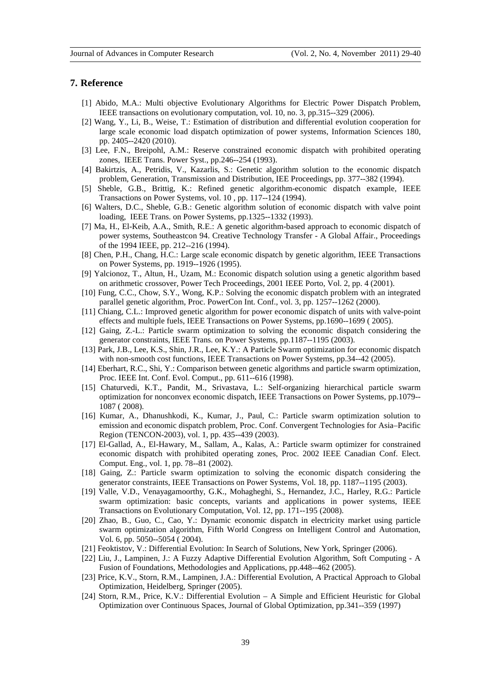#### **7. Reference**

- [1] Abido, M.A.: Multi objective Evolutionary Algorithms for Electric Power Dispatch Problem, IEEE transactions on evolutionary computation, vol. 10, no. 3, pp.315--329 (2006).
- [2] Wang, Y., Li, B., Weise, T.: Estimation of distribution and differential evolution cooperation for large scale economic load dispatch optimization of power systems, Information Sciences 180, pp. 2405--2420 (2010).
- [3] Lee, F.N., Breipohl, A.M.: Reserve constrained economic dispatch with prohibited operating zones, IEEE Trans. Power Syst., pp.246--254 (1993).
- [4] Bakirtzis, A., Petridis, V., Kazarlis, S.: Genetic algorithm solution to the economic dispatch problem, Generation, Transmission and Distribution, IEE Proceedings, pp. 377--382 (1994).
- [5] Sheble, G.B., Brittig, K.: Refined genetic algorithm-economic dispatch example, IEEE Transactions on Power Systems, vol. 10 , pp. 117--124 (1994).
- [6] Walters, D.C., Sheble, G.B.: Genetic algorithm solution of economic dispatch with valve point loading, IEEE Trans. on Power Systems, pp.1325--1332 (1993).
- [7] Ma, H., El-Keib, A.A., Smith, R.E.: A genetic algorithm-based approach to economic dispatch of power systems, Southeastcon 94. Creative Technology Transfer - A Global Affair., Proceedings of the 1994 IEEE, pp. 212--216 (1994).
- [8] Chen, P.H., Chang, H.C.: Large scale economic dispatch by genetic algorithm, IEEE Transactions on Power Systems, pp. 1919--1926 (1995).
- [9] Yalcionoz, T., Altun, H., Uzam, M.: Economic dispatch solution using a genetic algorithm based on arithmetic crossover, Power Tech Proceedings, 2001 IEEE Porto, Vol. 2, pp. 4 (2001).
- [10] Fung, C.C., Chow, S.Y., Wong, K.P.: Solving the economic dispatch problem with an integrated parallel genetic algorithm, Proc. PowerCon Int. Conf., vol. 3, pp. 1257--1262 (2000).
- [11] Chiang, C.L.: Improved genetic algorithm for power economic dispatch of units with valve-point effects and multiple fuels, IEEE Transactions on Power Systems, pp.1690--1699 ( 2005).
- [12] Gaing, Z.-L.: Particle swarm optimization to solving the economic dispatch considering the generator constraints, IEEE Trans. on Power Systems, pp.1187--1195 (2003).
- [13] Park, J.B., Lee, K.S., Shin, J.R., Lee, K.Y.: A Particle Swarm optimization for economic dispatch with non-smooth cost functions, IEEE Transactions on Power Systems, pp.34--42 (2005).
- [14] Eberhart, R.C., Shi, Y.: Comparison between genetic algorithms and particle swarm optimization, Proc. IEEE Int. Conf. Evol. Comput., pp. 611--616 (1998).
- [15] Chaturvedi, K.T., Pandit, M., Srivastava, L.: Self-organizing hierarchical particle swarm optimization for nonconvex economic dispatch, IEEE Transactions on Power Systems, pp.1079-- 1087 ( 2008).
- [16] Kumar, A., Dhanushkodi, K., Kumar, J., Paul, C.: Particle swarm optimization solution to emission and economic dispatch problem, Proc. Conf. Convergent Technologies for Asia–Pacific Region (TENCON-2003), vol. 1, pp. 435--439 (2003).
- [17] El-Gallad, A., El-Hawary, M., Sallam, A., Kalas, A.: Particle swarm optimizer for constrained economic dispatch with prohibited operating zones, Proc. 2002 IEEE Canadian Conf. Elect. Comput. Eng., vol. 1, pp. 78--81 (2002).
- [18] Gaing, Z.: Particle swarm optimization to solving the economic dispatch considering the generator constraints, IEEE Transactions on Power Systems, Vol. 18, pp. 1187--1195 (2003).
- [19] Valle, V.D., Venayagamoorthy, G.K., Mohagheghi, S., Hernandez, J.C., Harley, R.G.: Particle swarm optimization: basic concepts, variants and applications in power systems, IEEE Transactions on Evolutionary Computation, Vol. 12, pp. 171--195 (2008).
- [20] Zhao, B., Guo, C., Cao, Y.: Dynamic economic dispatch in electricity market using particle swarm optimization algorithm, Fifth World Congress on Intelligent Control and Automation, Vol. 6, pp. 5050--5054 ( 2004).
- [21] Feoktistov, V.: Differential Evolution: In Search of Solutions, New York, Springer (2006).
- [22] Liu, J., Lampinen, J.: A Fuzzy Adaptive Differential Evolution Algorithm, Soft Computing A Fusion of Foundations, Methodologies and Applications, pp.448--462 (2005).
- [23] Price, K.V., Storn, R.M., Lampinen, J.A.: Differential Evolution, A Practical Approach to Global Optimization, Heidelberg, Springer (2005).
- [24] Storn, R.M., Price, K.V.: Differential Evolution A Simple and Efficient Heuristic for Global Optimization over Continuous Spaces, Journal of Global Optimization, pp.341--359 (1997)